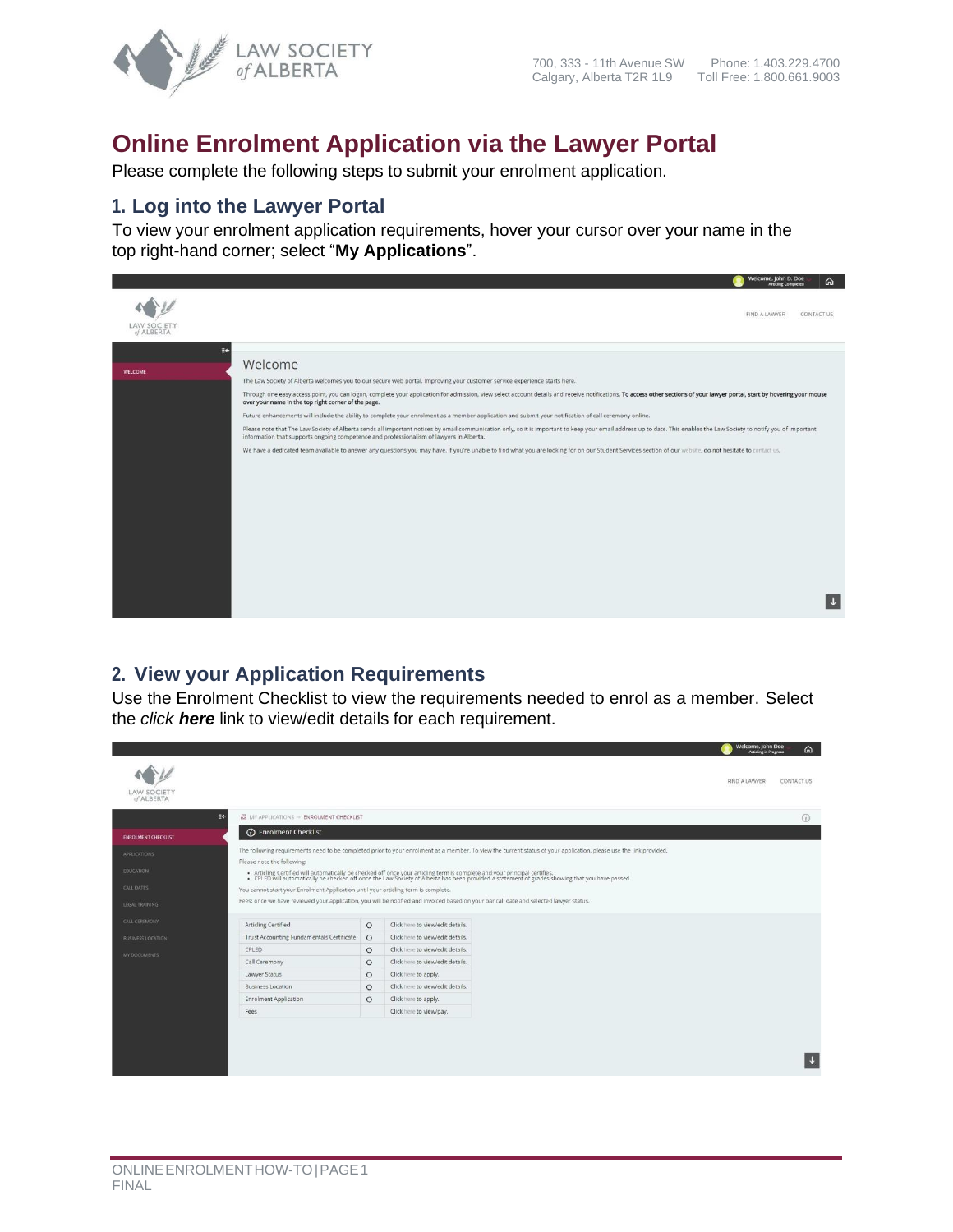

# **Online Enrolment Application via the Lawyer Portal**

Please complete the following steps to submit your enrolment application.

#### **1. Log into the Lawyer Portal**

To view your enrolment application requirements, hover your cursor over your name in the top right-hand corner; select "**My Applications**".



#### **2. View your Application Requirements**

Use the Enrolment Checklist to view the requirements needed to enrol as a member. Select the *click here* link to view/edit details for each requirement.

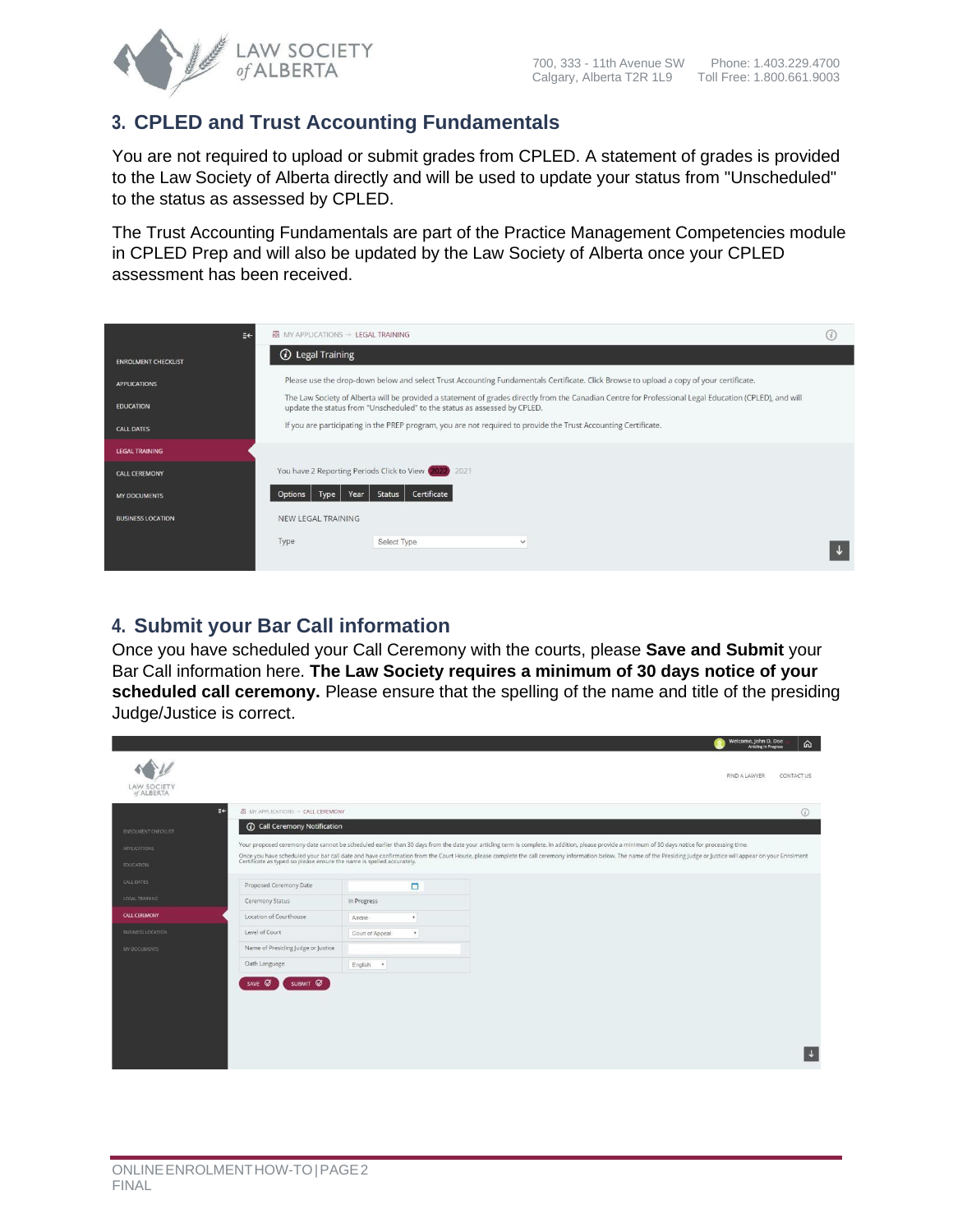

### **3. CPLED and Trust Accounting Fundamentals**

You are not required to upload or submit grades from CPLED. A statement of grades is provided to the Law Society of Alberta directly and will be used to update your status from "Unscheduled" to the status as assessed by CPLED.

The Trust Accounting Fundamentals are part of the Practice Management Competencies module in CPLED Prep and will also be updated by the Law Society of Alberta once your CPLED assessment has been received.

| €€                         | <b>图</b> MY APPLICATIONS → LEGAL TRAINING                                                                                                                                                                                          | (i) |  |  |  |  |  |
|----------------------------|------------------------------------------------------------------------------------------------------------------------------------------------------------------------------------------------------------------------------------|-----|--|--|--|--|--|
| <b>ENROLMENT CHECKLIST</b> | <b><i>(i)</i></b> Legal Training                                                                                                                                                                                                   |     |  |  |  |  |  |
| <b>APPLICATIONS</b>        | Please use the drop-down below and select Trust Accounting Fundamentals Certificate. Click Browse to upload a copy of your certificate.                                                                                            |     |  |  |  |  |  |
| <b>EDUCATION</b>           | The Law Society of Alberta will be provided a statement of grades directly from the Canadian Centre for Professional Legal Education (CPLED), and will<br>update the status from "Unscheduled" to the status as assessed by CPLED. |     |  |  |  |  |  |
| <b>CALL DATES</b>          | If you are participating in the PREP program, you are not required to provide the Trust Accounting Certificate.                                                                                                                    |     |  |  |  |  |  |
| <b>LEGAL TRAINING</b>      |                                                                                                                                                                                                                                    |     |  |  |  |  |  |
| <b>CALL CEREMONY</b>       | You have 2 Reporting Periods Click to View (2022) 2021                                                                                                                                                                             |     |  |  |  |  |  |
| <b>MY DOCUMENTS</b>        | Certificate<br>Year<br>Status<br>Options<br>Type                                                                                                                                                                                   |     |  |  |  |  |  |
| <b>BUSINESS LOCATION</b>   | NEW LEGAL TRAINING                                                                                                                                                                                                                 |     |  |  |  |  |  |
|                            | Type<br>Select Type<br>$\checkmark$                                                                                                                                                                                                |     |  |  |  |  |  |

### **4. Submit your Bar Call information**

Once you have scheduled your Call Ceremony with the courts, please **Save and Submit** your Bar Call information here. **The Law Society requires a minimum of 30 days notice of your scheduled call ceremony.** Please ensure that the spelling of the name and title of the presiding Judge/Justice is correct.

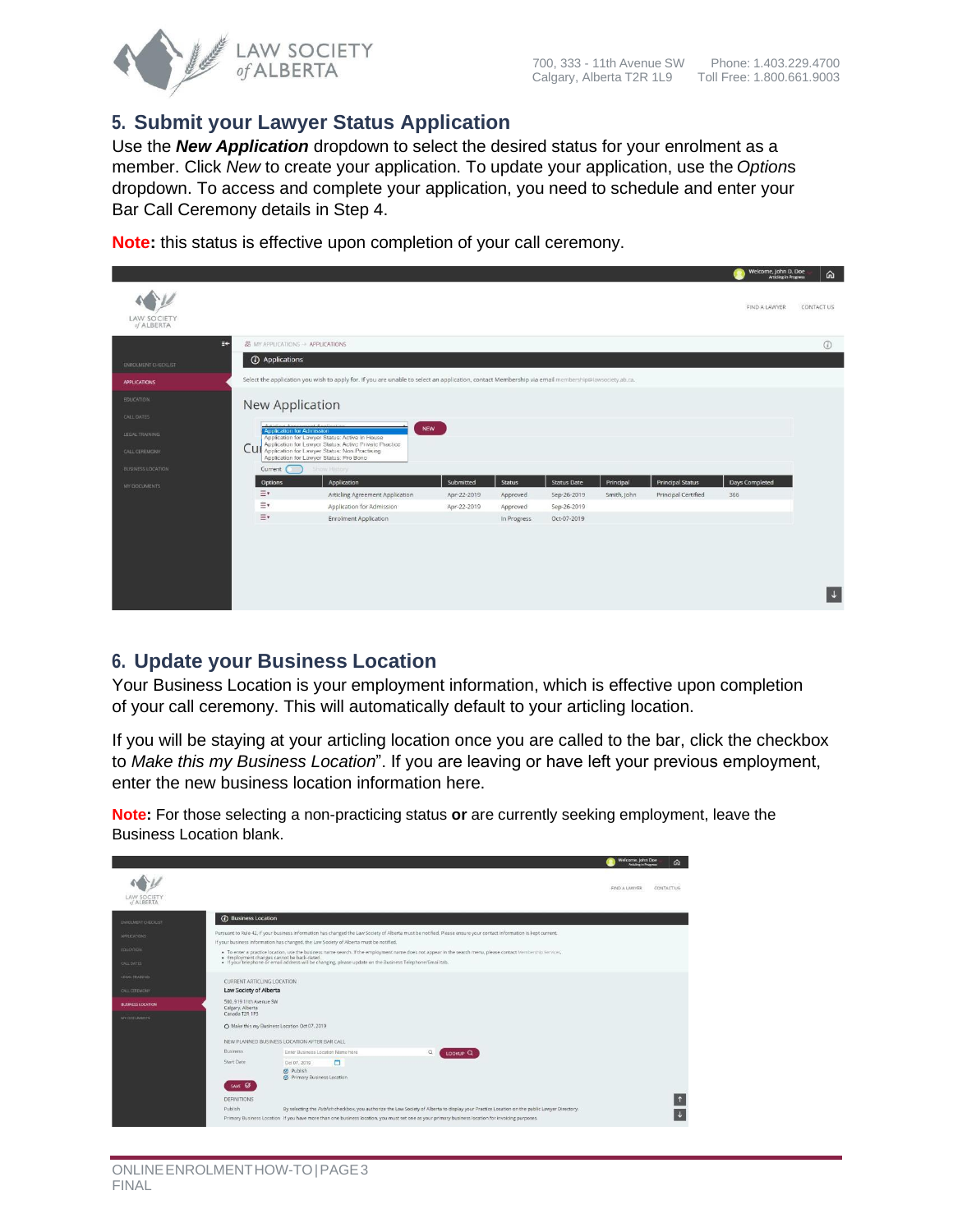

| ଲ |

 $(i)$ 

 $\vert \downarrow \vert$ 

#### **5. Submit your Lawyer Status Application**

Use the *New Application* dropdown to select the desired status for your enrolment as a member. Click *New* to create your application. To update your application, use the *Option*s dropdown. To access and complete your application, you need to schedule and enter your Bar Call Ceremony details in Step 4.

Velcome, John D. Doe WW FIND A LAWYER CONTACT US LAW SOCIETY<br>of ALBERTA **8** MY APPLICATIONS -> APPLICATIONS **1 O** Applications you wish to apply for. If you are unable to select an application, contact Membership vi New Application **NEW** Cu Status Date **Principal Status** Days Corr Principal Articling Agreement Application Apr-22-2019 Approved Sep-26-2019 Smith, John Principal Certified 366  $=$ Application for Admission Sep-26-2019 Apr-22-2019 Approved  $\equiv$ Enrolment Application In Progress Oct-07-2019

**Note:** this status is effective upon completion of your call ceremony.

#### **6. Update your Business Location**

Your Business Location is your employment information, which is effective upon completion of your call ceremony. This will automatically default to your articling location.

If you will be staying at your articling location once you are called to the bar, click the checkbox to *Make this my Business Location*". If you are leaving or have left your previous employment, enter the new business location information here.

**Note:** For those selecting a non-practicing status **or** are currently seeking employment, leave the Business Location blank.

|                           |                                                                                                                                                                    | Welcome, john Doe<br>⋒                                                                                                                                       |  |  |  |  |  |  |
|---------------------------|--------------------------------------------------------------------------------------------------------------------------------------------------------------------|--------------------------------------------------------------------------------------------------------------------------------------------------------------|--|--|--|--|--|--|
| LAW SOCIETY<br>of ALBERTA |                                                                                                                                                                    | CONTACT US<br>FIND A LAWYER                                                                                                                                  |  |  |  |  |  |  |
| ENROLMENT CHECKLIST       | (i) Business Location                                                                                                                                              |                                                                                                                                                              |  |  |  |  |  |  |
| APPLICATIONS              | Pursuant to Rule 42, if your business information has changed the Law Society of Alberta must be notified. Please ensure your contact information is kept current. |                                                                                                                                                              |  |  |  |  |  |  |
|                           | If your business information has changed, the Law Society of Alberta must be notified.                                                                             |                                                                                                                                                              |  |  |  |  |  |  |
| <b>FOUGATION</b>          | · Employment changes cannot be back-dated.                                                                                                                         | . To enter a practice location, use the business name search. If the employment name does not appear in the search menu, please contact Membership Services, |  |  |  |  |  |  |
| <b>CALL DATES</b>         | . If your telephone or email address will be changing, please update on the Business Telephone/Email tab.                                                          |                                                                                                                                                              |  |  |  |  |  |  |
| LEGAL TRAINING            | CURRENT ARTICLING LOCATION                                                                                                                                         |                                                                                                                                                              |  |  |  |  |  |  |
| CALL CEREMONY             | Law Society of Alberta                                                                                                                                             |                                                                                                                                                              |  |  |  |  |  |  |
| <b>BUSINESS LOCATION</b>  | 500: 919 11th Avenue SW<br>Calgary, Alberta                                                                                                                        |                                                                                                                                                              |  |  |  |  |  |  |
| <b>MY DOCUMENTS</b>       | Canada T2R 1P3                                                                                                                                                     |                                                                                                                                                              |  |  |  |  |  |  |
|                           | O Make this my Business Location Oct 07, 2019                                                                                                                      |                                                                                                                                                              |  |  |  |  |  |  |
|                           | NEW PLANNED BUSINESS LOCATION AFTER BAR CALL                                                                                                                       |                                                                                                                                                              |  |  |  |  |  |  |
|                           | <b>Business</b><br>Enter Business Location Name here<br>$\alpha$<br>LOOKUP <sub>Q</sub>                                                                            |                                                                                                                                                              |  |  |  |  |  |  |
|                           | Start Date<br>O<br>Oct 07, 2019                                                                                                                                    |                                                                                                                                                              |  |  |  |  |  |  |
|                           | O Publish<br><b>O</b> Primary Business Location                                                                                                                    |                                                                                                                                                              |  |  |  |  |  |  |
|                           | SAVE Ø                                                                                                                                                             |                                                                                                                                                              |  |  |  |  |  |  |
|                           | DEFINITIONS                                                                                                                                                        |                                                                                                                                                              |  |  |  |  |  |  |
|                           | By selecting the Publish checkbox, you authorize the Law Society of Alberta to display your Practice Location on the public Lawyer Directory.<br>Publish           |                                                                                                                                                              |  |  |  |  |  |  |
|                           | Primary Business Location If you have more than one business location, you must set one as your primary business location for invoicing purposes.                  |                                                                                                                                                              |  |  |  |  |  |  |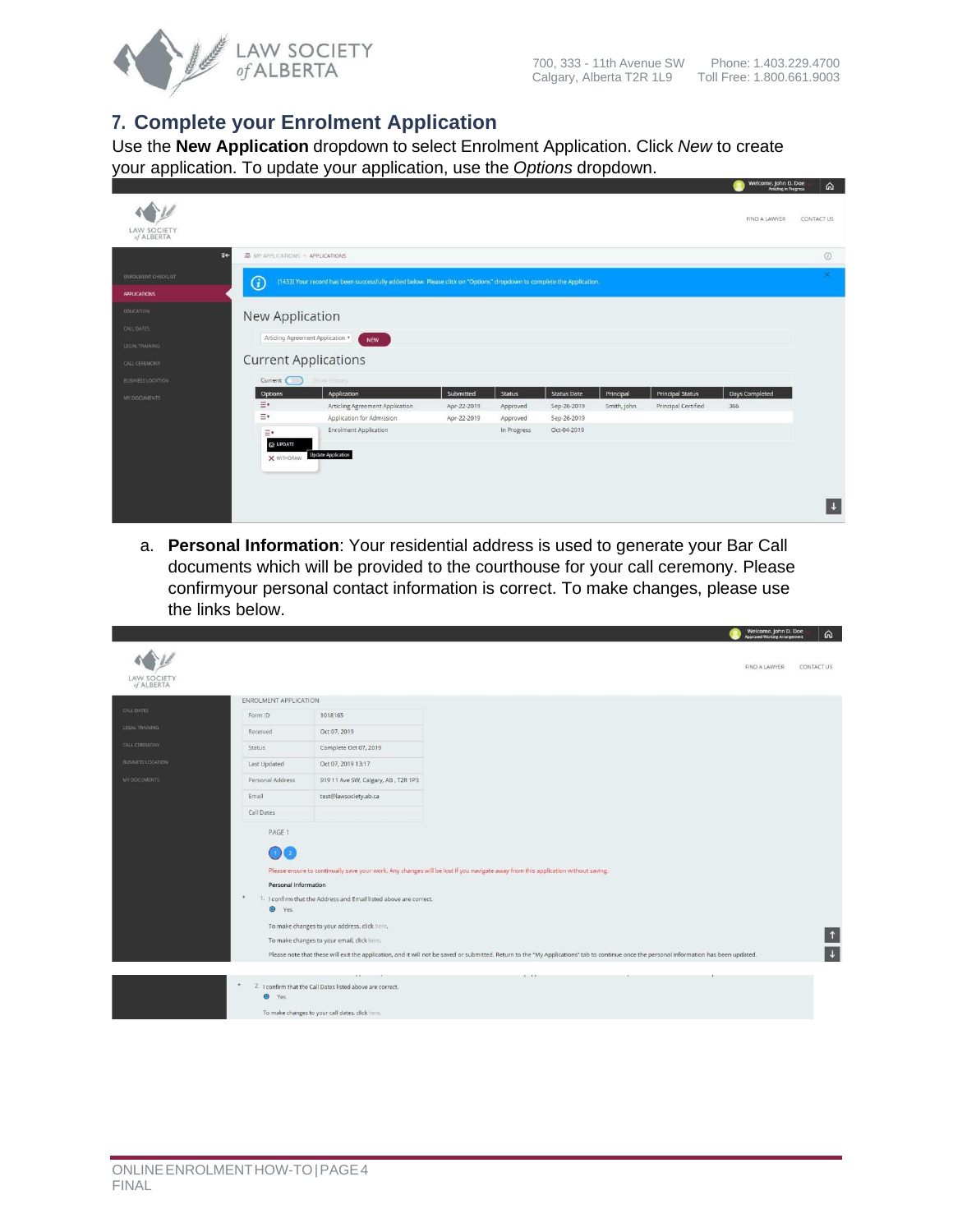

## **7. Complete your Enrolment Application**

Use the **New Application** dropdown to select Enrolment Application. Click *New* to create your application. To update your application, use the *Options* dropdown.

| <b>LAW SOCIETY</b><br>of ALBERTA |                                  |                                                                                                                       |             |               |                    |             |                         | Articling in Progress<br>FIND A LAWYER | m<br>CONTACT US |
|----------------------------------|----------------------------------|-----------------------------------------------------------------------------------------------------------------------|-------------|---------------|--------------------|-------------|-------------------------|----------------------------------------|-----------------|
| ≣÷                               | ■ MY APPLICATIONS → APPLICATIONS |                                                                                                                       |             |               |                    |             |                         |                                        | $\odot$         |
| ENROLMENT CHECKLIST              | $\odot$                          | (1453) Your record has been successfully added below. Please click on "Options" dropdown to complete the Application. |             |               |                    |             |                         |                                        | ×               |
| <b>APPLICATIONS</b>              |                                  |                                                                                                                       |             |               |                    |             |                         |                                        |                 |
| <b>EDUCATION</b>                 | New Application                  |                                                                                                                       |             |               |                    |             |                         |                                        |                 |
| CALL DATES                       |                                  |                                                                                                                       |             |               |                    |             |                         |                                        |                 |
| LEGAL TRAINING                   | Articling Agreement Application  | NEW                                                                                                                   |             |               |                    |             |                         |                                        |                 |
| CALL CEREMONY                    | <b>Current Applications</b>      |                                                                                                                       |             |               |                    |             |                         |                                        |                 |
| <b>BUSINESS LOCATION</b>         | Current                          | Show History                                                                                                          |             |               |                    |             |                         |                                        |                 |
| MY DOCUMENTS                     | Options                          | Application                                                                                                           | Submitted   | <b>Status</b> | <b>Status Date</b> | Principal   | <b>Principal Status</b> | Days Completed                         |                 |
|                                  | $\equiv$                         | Articling Agreement Application                                                                                       | Apr-22-2019 | Approved      | Sep-26-2019        | Smith, John | Principal Certified     | 366                                    |                 |
|                                  | $\equiv$                         | Application for Admission                                                                                             | Apr-22-2019 | Approved      | Sep-26-2019        |             |                         |                                        |                 |
|                                  | $\equiv$                         | <b>Enrolment Application</b>                                                                                          |             | In Progress   | Oct-04-2019        |             |                         |                                        |                 |
|                                  | <b>IZ UPDATE</b>                 | <b>Update Application</b>                                                                                             |             |               |                    |             |                         |                                        |                 |
|                                  | X WITHDRAW                       |                                                                                                                       |             |               |                    |             |                         |                                        |                 |
|                                  |                                  |                                                                                                                       |             |               |                    |             |                         |                                        |                 |
|                                  |                                  |                                                                                                                       |             |               |                    |             |                         |                                        |                 |
|                                  |                                  |                                                                                                                       |             |               |                    |             |                         |                                        |                 |

a. **Personal Information**: Your residential address is used to generate your Bar Call documents which will be provided to the courthouse for your call ceremony. Please confirmyour personal contact information is correct. To make changes, please use the links below.

|                                  |                                                                   |                                                                                                                                                                 |                                                                                                                                                                                                                                                                                                                              | <b>VVETCOTTIE, JOHN D. DOE</b><br>Approved Working Arrangement | ⋒          |
|----------------------------------|-------------------------------------------------------------------|-----------------------------------------------------------------------------------------------------------------------------------------------------------------|------------------------------------------------------------------------------------------------------------------------------------------------------------------------------------------------------------------------------------------------------------------------------------------------------------------------------|----------------------------------------------------------------|------------|
| <b>LAW SOCIETY</b><br>of ALBERTA |                                                                   |                                                                                                                                                                 |                                                                                                                                                                                                                                                                                                                              | FIND A LAWYER                                                  | CONTACT US |
|                                  | ENROLMENT APPLICATION                                             |                                                                                                                                                                 |                                                                                                                                                                                                                                                                                                                              |                                                                |            |
| CALL DATES                       | Form ID                                                           | 1018165                                                                                                                                                         |                                                                                                                                                                                                                                                                                                                              |                                                                |            |
| LEGAL TRAINING                   | Received                                                          | Oct 07, 2019                                                                                                                                                    |                                                                                                                                                                                                                                                                                                                              |                                                                |            |
| CALL CEREMONY                    | <b>Status</b>                                                     | Complete Oct 07, 2019                                                                                                                                           |                                                                                                                                                                                                                                                                                                                              |                                                                |            |
| <b>BUSINESS LOCATION</b>         | Last Updated                                                      | Oct 07, 2019 13:17                                                                                                                                              |                                                                                                                                                                                                                                                                                                                              |                                                                |            |
| MY DOCUMENTS                     | Personal Address                                                  | 919 11 Ave SW, Calgary, AB, T2R 1P3                                                                                                                             |                                                                                                                                                                                                                                                                                                                              |                                                                |            |
|                                  | Email                                                             | test@lawsociety.ab.ca                                                                                                                                           |                                                                                                                                                                                                                                                                                                                              |                                                                |            |
|                                  | Call Dates                                                        |                                                                                                                                                                 |                                                                                                                                                                                                                                                                                                                              |                                                                |            |
|                                  | PAGE 1<br>-10<br>Personal Information<br>$\star$<br>$\bullet$ Yes | 1. I confirm that the Address and Email listed above are correct.<br>To make changes to your address, click here,<br>To make changes to your email, click here. | Please ensure to continually save your work. Any changes will be lost if you navigate away from this application without saving.<br>Please note that these will exit the application, and it will not be saved or submitted. Return to the "My Applications" tab to continue once the personal information has been updated. |                                                                | $\uparrow$ |
|                                  |                                                                   |                                                                                                                                                                 | 2. 11                                                                                                                                                                                                                                                                                                                        |                                                                |            |
|                                  | O Yes                                                             | 2. I confirm that the Call Dates listed above are correct.<br>To make changes to your call dates, click here.                                                   |                                                                                                                                                                                                                                                                                                                              |                                                                |            |